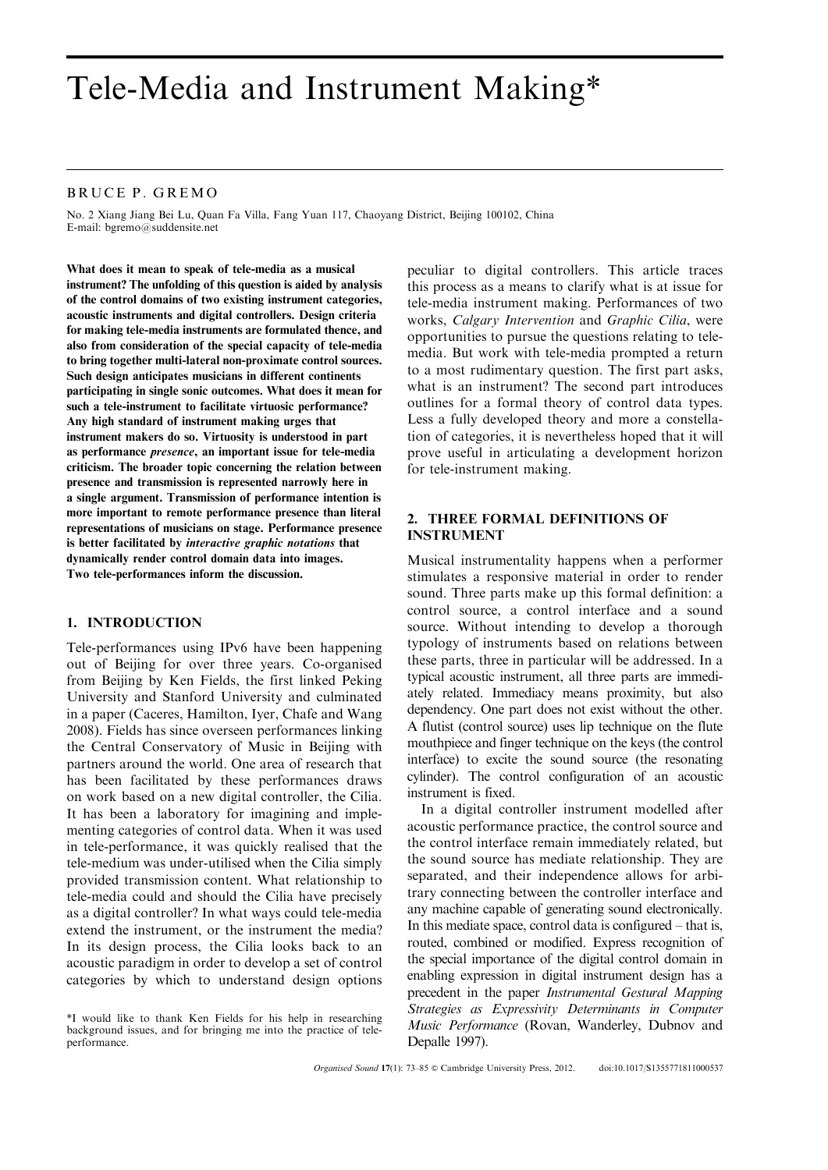# Tele-Media and Instrument Making\*

## BRUCE P. GREMO

No. 2 Xiang Jiang Bei Lu, Quan Fa Villa, Fang Yuan 117, Chaoyang District, Beijing 100102, China E-mail: bgremo@suddensite.net

What does it mean to speak of tele-media as a musical instrument? The unfolding of this question is aided by analysis of the control domains of two existing instrument categories, acoustic instruments and digital controllers. Design criteria for making tele-media instruments are formulated thence, and also from consideration of the special capacity of tele-media to bring together multi-lateral non-proximate control sources. Such design anticipates musicians in different continents participating in single sonic outcomes. What does it mean for such a tele-instrument to facilitate virtuosic performance? Any high standard of instrument making urges that instrument makers do so. Virtuosity is understood in part as performance presence, an important issue for tele-media criticism. The broader topic concerning the relation between presence and transmission is represented narrowly here in a single argument. Transmission of performance intention is more important to remote performance presence than literal representations of musicians on stage. Performance presence is better facilitated by interactive graphic notations that dynamically render control domain data into images. Two tele-performances inform the discussion.

# 1. INTRODUCTION

Tele-performances using IPv6 have been happening out of Beijing for over three years. Co-organised from Beijing by Ken Fields, the first linked Peking University and Stanford University and culminated in a paper (Caceres, Hamilton, Iyer, Chafe and Wang 2008). Fields has since overseen performances linking the Central Conservatory of Music in Beijing with partners around the world. One area of research that has been facilitated by these performances draws on work based on a new digital controller, the Cilia. It has been a laboratory for imagining and implementing categories of control data. When it was used in tele-performance, it was quickly realised that the tele-medium was under-utilised when the Cilia simply provided transmission content. What relationship to tele-media could and should the Cilia have precisely as a digital controller? In what ways could tele-media extend the instrument, or the instrument the media? In its design process, the Cilia looks back to an acoustic paradigm in order to develop a set of control categories by which to understand design options

\*I would like to thank Ken Fields for his help in researching background issues, and for bringing me into the practice of teleperformance.

peculiar to digital controllers. This article traces this process as a means to clarify what is at issue for tele-media instrument making. Performances of two works, Calgary Intervention and Graphic Cilia, were opportunities to pursue the questions relating to telemedia. But work with tele-media prompted a return to a most rudimentary question. The first part asks, what is an instrument? The second part introduces outlines for a formal theory of control data types. Less a fully developed theory and more a constellation of categories, it is nevertheless hoped that it will prove useful in articulating a development horizon for tele-instrument making.

# 2. THREE FORMAL DEFINITIONS OF INSTRUMENT

Musical instrumentality happens when a performer stimulates a responsive material in order to render sound. Three parts make up this formal definition: a control source, a control interface and a sound source. Without intending to develop a thorough typology of instruments based on relations between these parts, three in particular will be addressed. In a typical acoustic instrument, all three parts are immediately related. Immediacy means proximity, but also dependency. One part does not exist without the other. A flutist (control source) uses lip technique on the flute mouthpiece and finger technique on the keys (the control interface) to excite the sound source (the resonating cylinder). The control configuration of an acoustic instrument is fixed.

In a digital controller instrument modelled after acoustic performance practice, the control source and the control interface remain immediately related, but the sound source has mediate relationship. They are separated, and their independence allows for arbitrary connecting between the controller interface and any machine capable of generating sound electronically. In this mediate space, control data is configured – that is, routed, combined or modified. Express recognition of the special importance of the digital control domain in enabling expression in digital instrument design has a precedent in the paper Instrumental Gestural Mapping Strategies as Expressivity Determinants in Computer Music Performance (Rovan, Wanderley, Dubnov and Depalle 1997).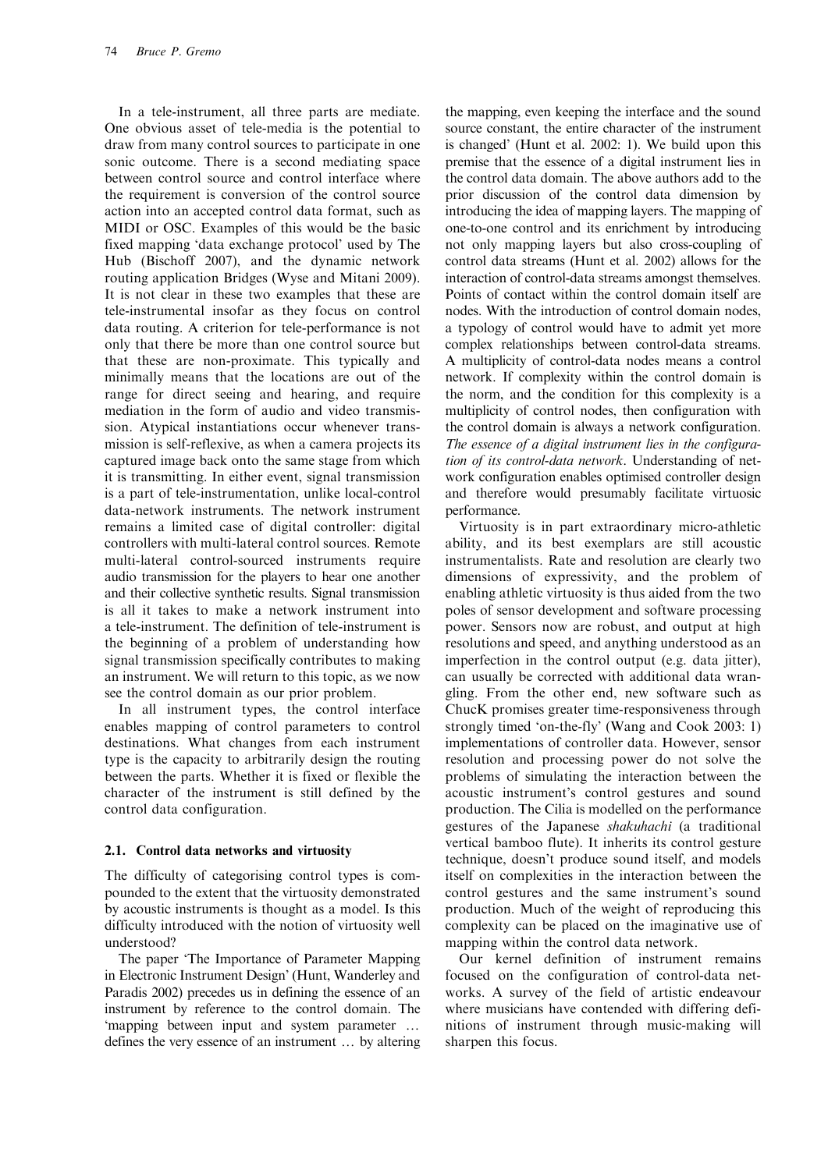In a tele-instrument, all three parts are mediate. One obvious asset of tele-media is the potential to draw from many control sources to participate in one sonic outcome. There is a second mediating space between control source and control interface where the requirement is conversion of the control source action into an accepted control data format, such as MIDI or OSC. Examples of this would be the basic fixed mapping 'data exchange protocol' used by The Hub (Bischoff 2007), and the dynamic network routing application Bridges (Wyse and Mitani 2009). It is not clear in these two examples that these are tele-instrumental insofar as they focus on control data routing. A criterion for tele-performance is not only that there be more than one control source but that these are non-proximate. This typically and minimally means that the locations are out of the range for direct seeing and hearing, and require mediation in the form of audio and video transmission. Atypical instantiations occur whenever transmission is self-reflexive, as when a camera projects its captured image back onto the same stage from which it is transmitting. In either event, signal transmission is a part of tele-instrumentation, unlike local-control data-network instruments. The network instrument remains a limited case of digital controller: digital controllers with multi-lateral control sources. Remote multi-lateral control-sourced instruments require audio transmission for the players to hear one another and their collective synthetic results. Signal transmission is all it takes to make a network instrument into a tele-instrument. The definition of tele-instrument is the beginning of a problem of understanding how signal transmission specifically contributes to making an instrument. We will return to this topic, as we now see the control domain as our prior problem.

In all instrument types, the control interface enables mapping of control parameters to control destinations. What changes from each instrument type is the capacity to arbitrarily design the routing between the parts. Whether it is fixed or flexible the character of the instrument is still defined by the control data configuration.

#### 2.1. Control data networks and virtuosity

The difficulty of categorising control types is compounded to the extent that the virtuosity demonstrated by acoustic instruments is thought as a model. Is this difficulty introduced with the notion of virtuosity well understood?

The paper 'The Importance of Parameter Mapping in Electronic Instrument Design' (Hunt, Wanderley and Paradis 2002) precedes us in defining the essence of an instrument by reference to the control domain. The 'mapping between input and system parameter ... defines the very essence of an instrument ... by altering the mapping, even keeping the interface and the sound source constant, the entire character of the instrument is changed' (Hunt et al. 2002: 1). We build upon this premise that the essence of a digital instrument lies in the control data domain. The above authors add to the prior discussion of the control data dimension by introducing the idea of mapping layers. The mapping of one-to-one control and its enrichment by introducing not only mapping layers but also cross-coupling of control data streams (Hunt et al. 2002) allows for the interaction of control-data streams amongst themselves. Points of contact within the control domain itself are nodes. With the introduction of control domain nodes, a typology of control would have to admit yet more complex relationships between control-data streams. A multiplicity of control-data nodes means a control network. If complexity within the control domain is the norm, and the condition for this complexity is a multiplicity of control nodes, then configuration with the control domain is always a network configuration. The essence of a digital instrument lies in the configuration of its control-data network. Understanding of network configuration enables optimised controller design and therefore would presumably facilitate virtuosic performance.

Virtuosity is in part extraordinary micro-athletic ability, and its best exemplars are still acoustic instrumentalists. Rate and resolution are clearly two dimensions of expressivity, and the problem of enabling athletic virtuosity is thus aided from the two poles of sensor development and software processing power. Sensors now are robust, and output at high resolutions and speed, and anything understood as an imperfection in the control output (e.g. data jitter), can usually be corrected with additional data wrangling. From the other end, new software such as ChucK promises greater time-responsiveness through strongly timed 'on-the-fly' (Wang and Cook 2003: 1) implementations of controller data. However, sensor resolution and processing power do not solve the problems of simulating the interaction between the acoustic instrument's control gestures and sound production. The Cilia is modelled on the performance gestures of the Japanese shakuhachi (a traditional vertical bamboo flute). It inherits its control gesture technique, doesn't produce sound itself, and models itself on complexities in the interaction between the control gestures and the same instrument's sound production. Much of the weight of reproducing this complexity can be placed on the imaginative use of mapping within the control data network.

Our kernel definition of instrument remains focused on the configuration of control-data networks. A survey of the field of artistic endeavour where musicians have contended with differing definitions of instrument through music-making will sharpen this focus.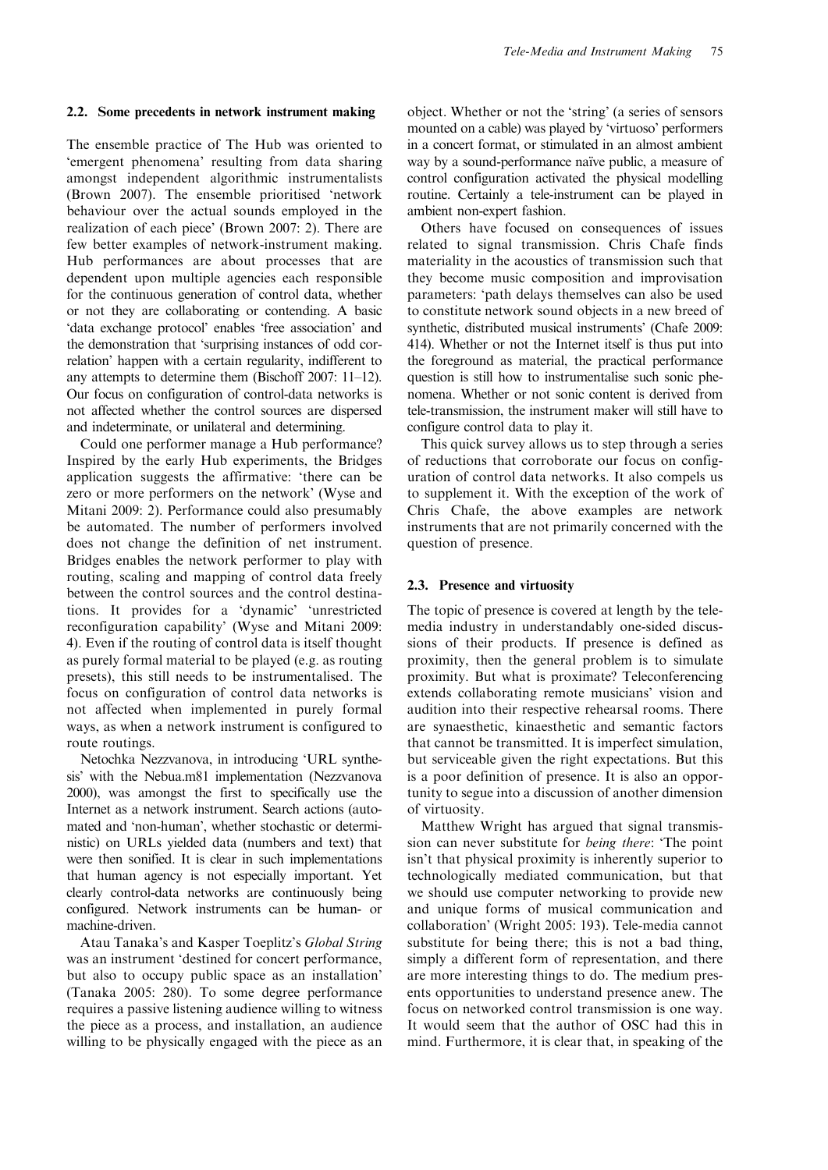#### 2.2. Some precedents in network instrument making

The ensemble practice of The Hub was oriented to 'emergent phenomena' resulting from data sharing amongst independent algorithmic instrumentalists (Brown 2007). The ensemble prioritised 'network behaviour over the actual sounds employed in the realization of each piece' (Brown 2007: 2). There are few better examples of network-instrument making. Hub performances are about processes that are dependent upon multiple agencies each responsible for the continuous generation of control data, whether or not they are collaborating or contending. A basic 'data exchange protocol' enables 'free association' and the demonstration that 'surprising instances of odd correlation' happen with a certain regularity, indifferent to any attempts to determine them (Bischoff 2007: 11–12). Our focus on configuration of control-data networks is not affected whether the control sources are dispersed and indeterminate, or unilateral and determining.

Could one performer manage a Hub performance? Inspired by the early Hub experiments, the Bridges application suggests the affirmative: 'there can be zero or more performers on the network' (Wyse and Mitani 2009: 2). Performance could also presumably be automated. The number of performers involved does not change the definition of net instrument. Bridges enables the network performer to play with routing, scaling and mapping of control data freely between the control sources and the control destinations. It provides for a 'dynamic' 'unrestricted reconfiguration capability' (Wyse and Mitani 2009: 4). Even if the routing of control data is itself thought as purely formal material to be played (e.g. as routing presets), this still needs to be instrumentalised. The focus on configuration of control data networks is not affected when implemented in purely formal ways, as when a network instrument is configured to route routings.

Netochka Nezzvanova, in introducing 'URL synthesis' with the Nebua.m81 implementation (Nezzvanova 2000), was amongst the first to specifically use the Internet as a network instrument. Search actions (automated and 'non-human', whether stochastic or deterministic) on URLs yielded data (numbers and text) that were then sonified. It is clear in such implementations that human agency is not especially important. Yet clearly control-data networks are continuously being configured. Network instruments can be human- or machine-driven.

Atau Tanaka's and Kasper Toeplitz's Global String was an instrument 'destined for concert performance, but also to occupy public space as an installation' (Tanaka 2005: 280). To some degree performance requires a passive listening audience willing to witness the piece as a process, and installation, an audience willing to be physically engaged with the piece as an object. Whether or not the 'string' (a series of sensors mounted on a cable) was played by 'virtuoso' performers in a concert format, or stimulated in an almost ambient way by a sound-performance naïve public, a measure of control configuration activated the physical modelling routine. Certainly a tele-instrument can be played in ambient non-expert fashion.

Others have focused on consequences of issues related to signal transmission. Chris Chafe finds materiality in the acoustics of transmission such that they become music composition and improvisation parameters: 'path delays themselves can also be used to constitute network sound objects in a new breed of synthetic, distributed musical instruments' (Chafe 2009: 414). Whether or not the Internet itself is thus put into the foreground as material, the practical performance question is still how to instrumentalise such sonic phenomena. Whether or not sonic content is derived from tele-transmission, the instrument maker will still have to configure control data to play it.

This quick survey allows us to step through a series of reductions that corroborate our focus on configuration of control data networks. It also compels us to supplement it. With the exception of the work of Chris Chafe, the above examples are network instruments that are not primarily concerned with the question of presence.

#### 2.3. Presence and virtuosity

The topic of presence is covered at length by the telemedia industry in understandably one-sided discussions of their products. If presence is defined as proximity, then the general problem is to simulate proximity. But what is proximate? Teleconferencing extends collaborating remote musicians' vision and audition into their respective rehearsal rooms. There are synaesthetic, kinaesthetic and semantic factors that cannot be transmitted. It is imperfect simulation, but serviceable given the right expectations. But this is a poor definition of presence. It is also an opportunity to segue into a discussion of another dimension of virtuosity.

Matthew Wright has argued that signal transmission can never substitute for being there: 'The point isn't that physical proximity is inherently superior to technologically mediated communication, but that we should use computer networking to provide new and unique forms of musical communication and collaboration' (Wright 2005: 193). Tele-media cannot substitute for being there; this is not a bad thing, simply a different form of representation, and there are more interesting things to do. The medium presents opportunities to understand presence anew. The focus on networked control transmission is one way. It would seem that the author of OSC had this in mind. Furthermore, it is clear that, in speaking of the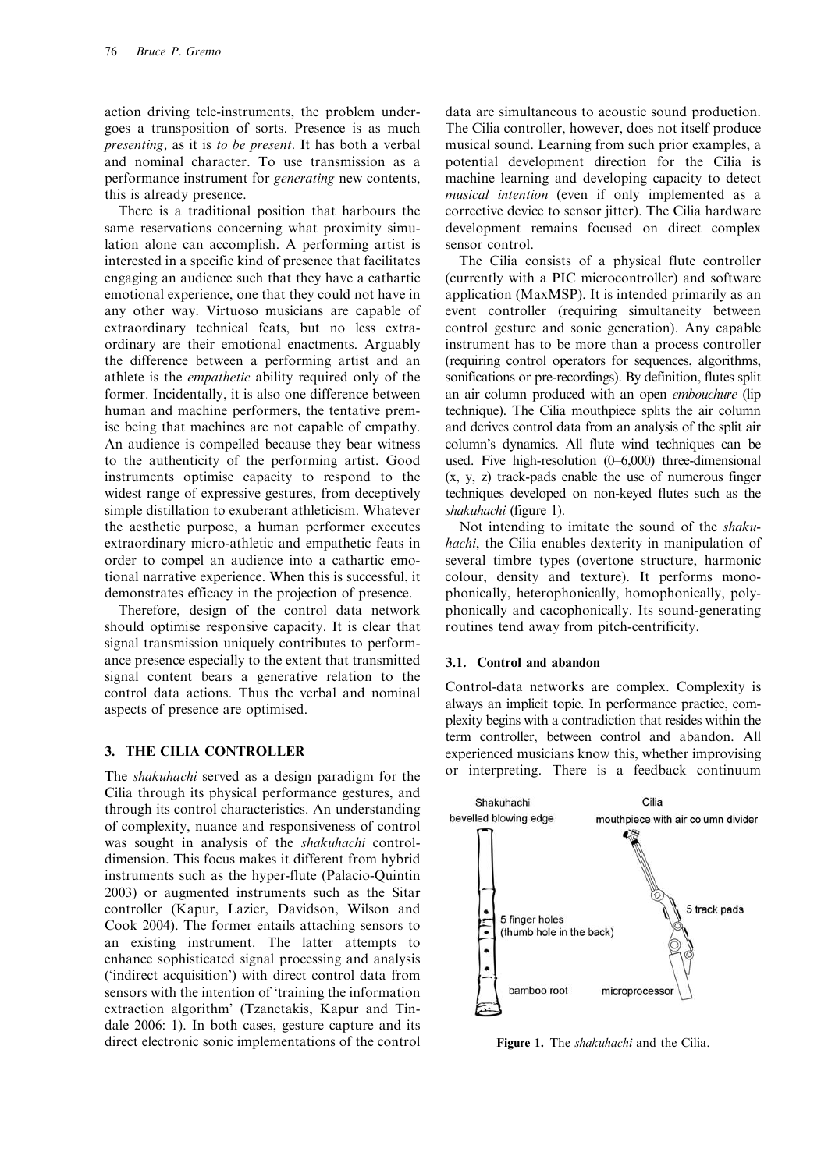action driving tele-instruments, the problem undergoes a transposition of sorts. Presence is as much presenting, as it is to be present. It has both a verbal and nominal character. To use transmission as a performance instrument for generating new contents, this is already presence.

There is a traditional position that harbours the same reservations concerning what proximity simulation alone can accomplish. A performing artist is interested in a specific kind of presence that facilitates engaging an audience such that they have a cathartic emotional experience, one that they could not have in any other way. Virtuoso musicians are capable of extraordinary technical feats, but no less extraordinary are their emotional enactments. Arguably the difference between a performing artist and an athlete is the empathetic ability required only of the former. Incidentally, it is also one difference between human and machine performers, the tentative premise being that machines are not capable of empathy. An audience is compelled because they bear witness to the authenticity of the performing artist. Good instruments optimise capacity to respond to the widest range of expressive gestures, from deceptively simple distillation to exuberant athleticism. Whatever the aesthetic purpose, a human performer executes extraordinary micro-athletic and empathetic feats in order to compel an audience into a cathartic emotional narrative experience. When this is successful, it demonstrates efficacy in the projection of presence.

Therefore, design of the control data network should optimise responsive capacity. It is clear that signal transmission uniquely contributes to performance presence especially to the extent that transmitted signal content bears a generative relation to the control data actions. Thus the verbal and nominal aspects of presence are optimised.

# 3. THE CILIA CONTROLLER

The shakuhachi served as a design paradigm for the Cilia through its physical performance gestures, and through its control characteristics. An understanding of complexity, nuance and responsiveness of control was sought in analysis of the shakuhachi controldimension. This focus makes it different from hybrid instruments such as the hyper-flute (Palacio-Quintin 2003) or augmented instruments such as the Sitar controller (Kapur, Lazier, Davidson, Wilson and Cook 2004). The former entails attaching sensors to an existing instrument. The latter attempts to enhance sophisticated signal processing and analysis ('indirect acquisition') with direct control data from sensors with the intention of 'training the information extraction algorithm' (Tzanetakis, Kapur and Tindale 2006: 1). In both cases, gesture capture and its direct electronic sonic implementations of the control

data are simultaneous to acoustic sound production. The Cilia controller, however, does not itself produce musical sound. Learning from such prior examples, a potential development direction for the Cilia is machine learning and developing capacity to detect musical intention (even if only implemented as a corrective device to sensor jitter). The Cilia hardware development remains focused on direct complex sensor control.

The Cilia consists of a physical flute controller (currently with a PIC microcontroller) and software application (MaxMSP). It is intended primarily as an event controller (requiring simultaneity between control gesture and sonic generation). Any capable instrument has to be more than a process controller (requiring control operators for sequences, algorithms, sonifications or pre-recordings). By definition, flutes split an air column produced with an open embouchure (lip technique). The Cilia mouthpiece splits the air column and derives control data from an analysis of the split air column's dynamics. All flute wind techniques can be used. Five high-resolution  $(0-6,000)$  three-dimensional (x, y, z) track-pads enable the use of numerous finger techniques developed on non-keyed flutes such as the shakuhachi (figure 1).

Not intending to imitate the sound of the shakuhachi, the Cilia enables dexterity in manipulation of several timbre types (overtone structure, harmonic colour, density and texture). It performs monophonically, heterophonically, homophonically, polyphonically and cacophonically. Its sound-generating routines tend away from pitch-centrificity.

## 3.1. Control and abandon

Control-data networks are complex. Complexity is always an implicit topic. In performance practice, complexity begins with a contradiction that resides within the term controller, between control and abandon. All experienced musicians know this, whether improvising or interpreting. There is a feedback continuum



Figure 1. The shakuhachi and the Cilia.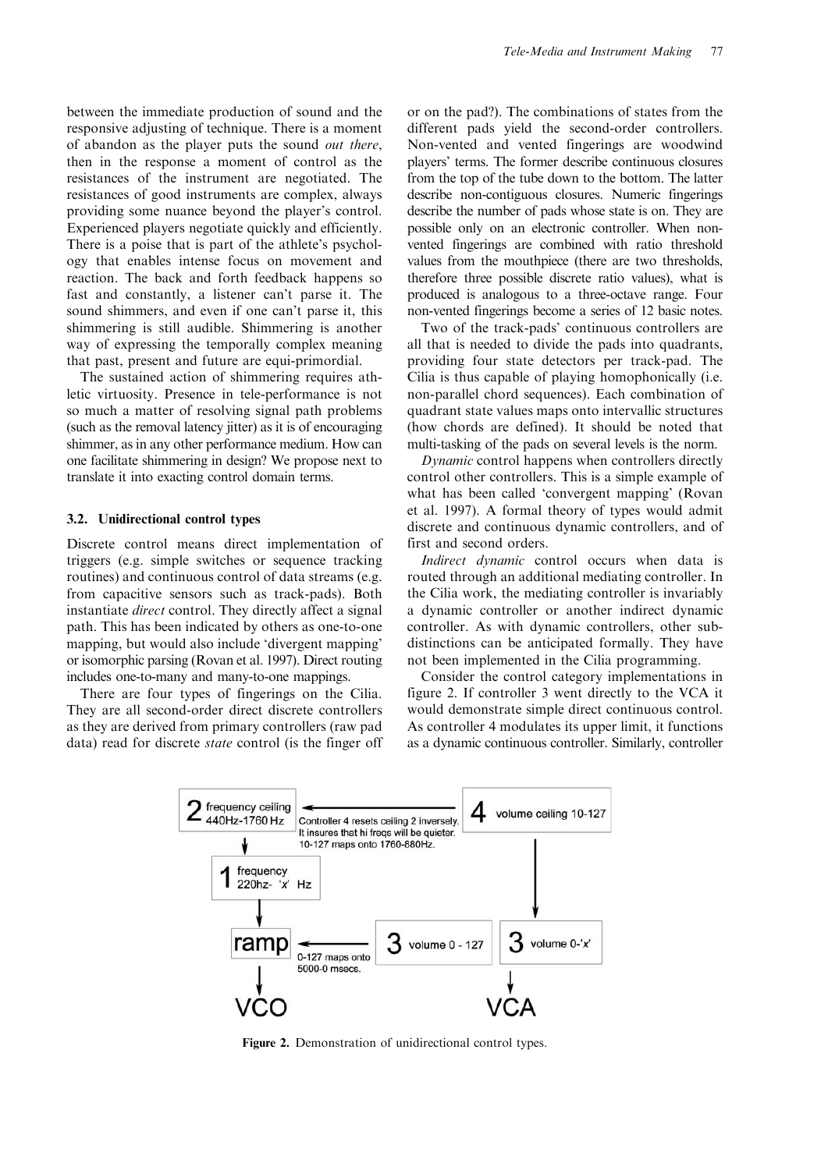between the immediate production of sound and the responsive adjusting of technique. There is a moment of abandon as the player puts the sound out there, then in the response a moment of control as the resistances of the instrument are negotiated. The resistances of good instruments are complex, always providing some nuance beyond the player's control. Experienced players negotiate quickly and efficiently. There is a poise that is part of the athlete's psychology that enables intense focus on movement and reaction. The back and forth feedback happens so fast and constantly, a listener can't parse it. The sound shimmers, and even if one can't parse it, this shimmering is still audible. Shimmering is another way of expressing the temporally complex meaning that past, present and future are equi-primordial.

The sustained action of shimmering requires athletic virtuosity. Presence in tele-performance is not so much a matter of resolving signal path problems (such as the removal latency jitter) as it is of encouraging shimmer, as in any other performance medium. How can one facilitate shimmering in design? We propose next to translate it into exacting control domain terms.

### 3.2. Unidirectional control types

Discrete control means direct implementation of triggers (e.g. simple switches or sequence tracking routines) and continuous control of data streams (e.g. from capacitive sensors such as track-pads). Both instantiate *direct* control. They directly affect a signal path. This has been indicated by others as one-to-one mapping, but would also include 'divergent mapping' or isomorphic parsing (Rovan et al. 1997). Direct routing includes one-to-many and many-to-one mappings.

There are four types of fingerings on the Cilia. They are all second-order direct discrete controllers as they are derived from primary controllers (raw pad data) read for discrete state control (is the finger off or on the pad?). The combinations of states from the different pads yield the second-order controllers. Non-vented and vented fingerings are woodwind players' terms. The former describe continuous closures from the top of the tube down to the bottom. The latter describe non-contiguous closures. Numeric fingerings describe the number of pads whose state is on. They are possible only on an electronic controller. When nonvented fingerings are combined with ratio threshold values from the mouthpiece (there are two thresholds, therefore three possible discrete ratio values), what is produced is analogous to a three-octave range. Four non-vented fingerings become a series of 12 basic notes.

Two of the track-pads' continuous controllers are all that is needed to divide the pads into quadrants, providing four state detectors per track-pad. The Cilia is thus capable of playing homophonically (i.e. non-parallel chord sequences). Each combination of quadrant state values maps onto intervallic structures (how chords are defined). It should be noted that multi-tasking of the pads on several levels is the norm.

Dynamic control happens when controllers directly control other controllers. This is a simple example of what has been called 'convergent mapping' (Rovan et al. 1997). A formal theory of types would admit discrete and continuous dynamic controllers, and of first and second orders.

Indirect dynamic control occurs when data is routed through an additional mediating controller. In the Cilia work, the mediating controller is invariably a dynamic controller or another indirect dynamic controller. As with dynamic controllers, other subdistinctions can be anticipated formally. They have not been implemented in the Cilia programming.

Consider the control category implementations in figure 2. If controller 3 went directly to the VCA it would demonstrate simple direct continuous control. As controller 4 modulates its upper limit, it functions as a dynamic continuous controller. Similarly, controller



Figure 2. Demonstration of unidirectional control types.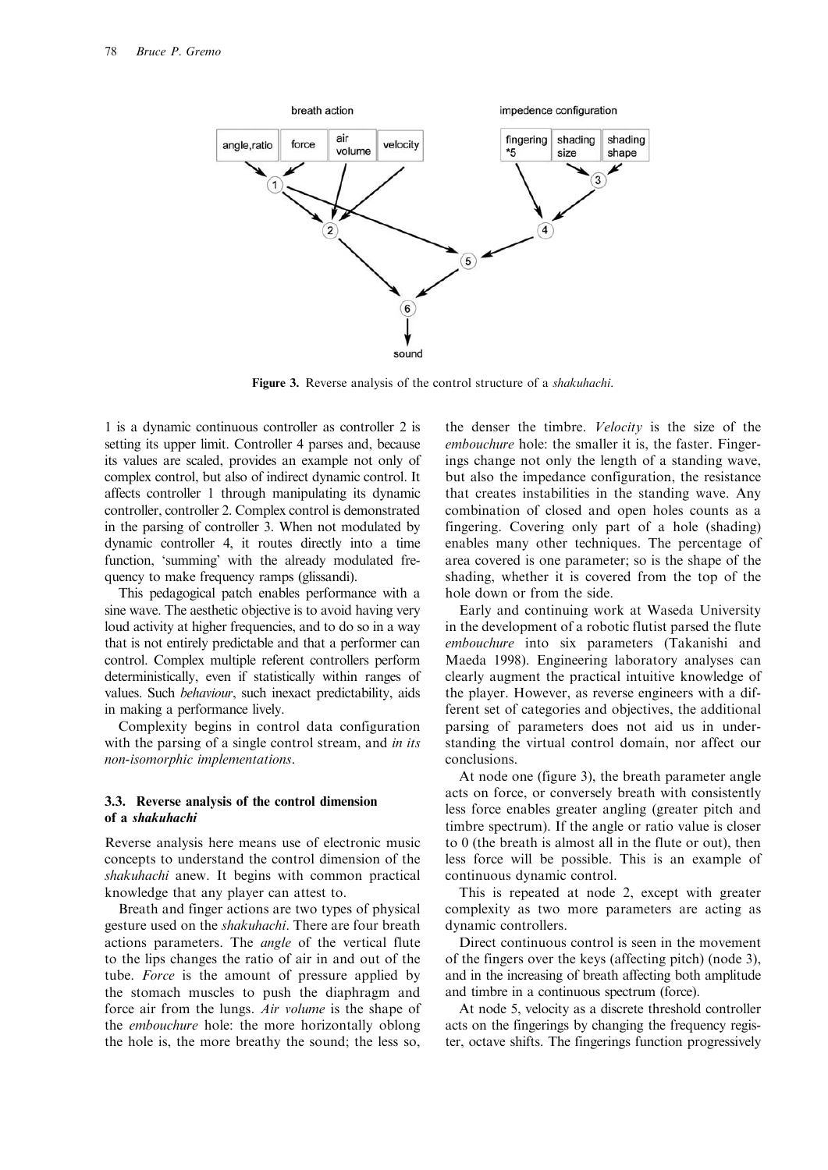

Figure 3. Reverse analysis of the control structure of a shakuhachi.

1 is a dynamic continuous controller as controller 2 is setting its upper limit. Controller 4 parses and, because its values are scaled, provides an example not only of complex control, but also of indirect dynamic control. It affects controller 1 through manipulating its dynamic controller, controller 2. Complex control is demonstrated in the parsing of controller 3. When not modulated by dynamic controller 4, it routes directly into a time function, 'summing' with the already modulated frequency to make frequency ramps (glissandi).

This pedagogical patch enables performance with a sine wave. The aesthetic objective is to avoid having very loud activity at higher frequencies, and to do so in a way that is not entirely predictable and that a performer can control. Complex multiple referent controllers perform deterministically, even if statistically within ranges of values. Such behaviour, such inexact predictability, aids in making a performance lively.

Complexity begins in control data configuration with the parsing of a single control stream, and in its non-isomorphic implementations.

## 3.3. Reverse analysis of the control dimension of a shakuhachi

Reverse analysis here means use of electronic music concepts to understand the control dimension of the shakuhachi anew. It begins with common practical knowledge that any player can attest to.

Breath and finger actions are two types of physical gesture used on the shakuhachi. There are four breath actions parameters. The angle of the vertical flute to the lips changes the ratio of air in and out of the tube. Force is the amount of pressure applied by the stomach muscles to push the diaphragm and force air from the lungs. Air volume is the shape of the embouchure hole: the more horizontally oblong the hole is, the more breathy the sound; the less so, the denser the timbre. Velocity is the size of the embouchure hole: the smaller it is, the faster. Fingerings change not only the length of a standing wave, but also the impedance configuration, the resistance that creates instabilities in the standing wave. Any combination of closed and open holes counts as a fingering. Covering only part of a hole (shading) enables many other techniques. The percentage of area covered is one parameter; so is the shape of the shading, whether it is covered from the top of the hole down or from the side.

Early and continuing work at Waseda University in the development of a robotic flutist parsed the flute embouchure into six parameters (Takanishi and Maeda 1998). Engineering laboratory analyses can clearly augment the practical intuitive knowledge of the player. However, as reverse engineers with a different set of categories and objectives, the additional parsing of parameters does not aid us in understanding the virtual control domain, nor affect our conclusions.

At node one (figure 3), the breath parameter angle acts on force, or conversely breath with consistently less force enables greater angling (greater pitch and timbre spectrum). If the angle or ratio value is closer to 0 (the breath is almost all in the flute or out), then less force will be possible. This is an example of continuous dynamic control.

This is repeated at node 2, except with greater complexity as two more parameters are acting as dynamic controllers.

Direct continuous control is seen in the movement of the fingers over the keys (affecting pitch) (node 3), and in the increasing of breath affecting both amplitude and timbre in a continuous spectrum (force).

At node 5, velocity as a discrete threshold controller acts on the fingerings by changing the frequency register, octave shifts. The fingerings function progressively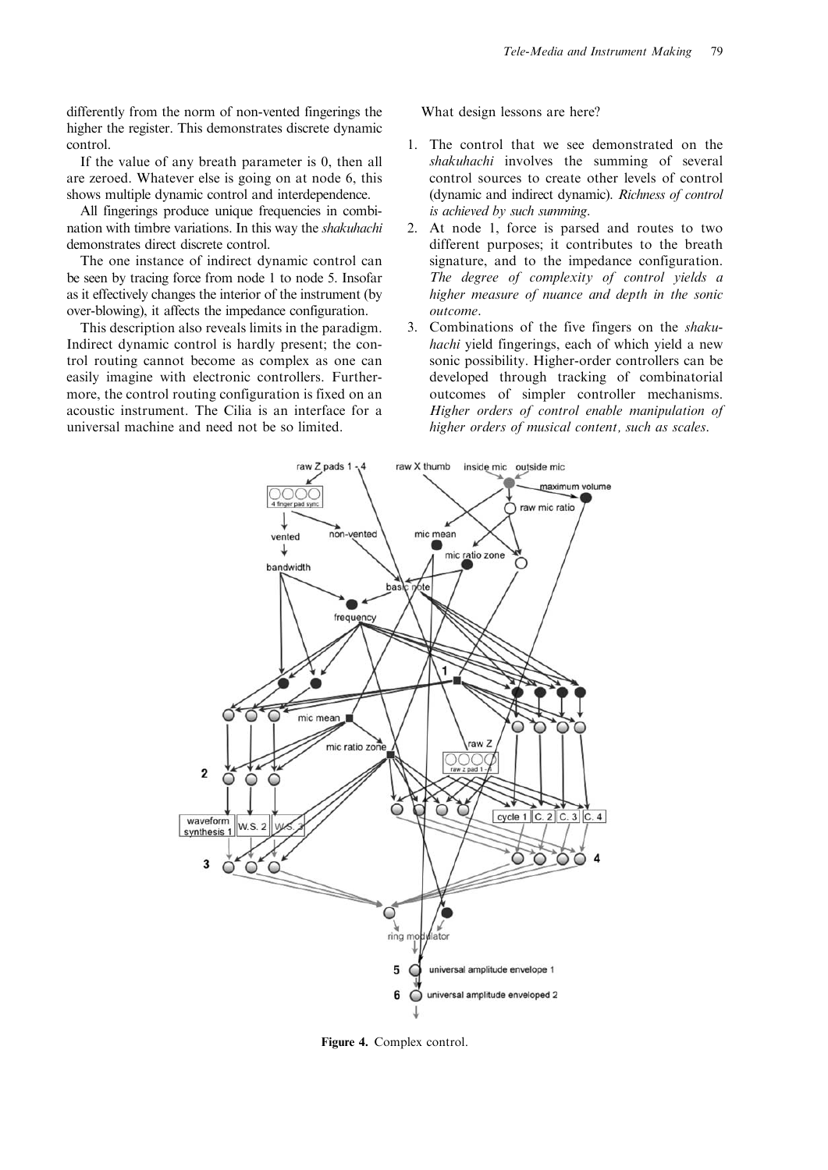differently from the norm of non-vented fingerings the higher the register. This demonstrates discrete dynamic control.

If the value of any breath parameter is 0, then all are zeroed. Whatever else is going on at node 6, this shows multiple dynamic control and interdependence.

All fingerings produce unique frequencies in combination with timbre variations. In this way the shakuhachi demonstrates direct discrete control.

The one instance of indirect dynamic control can be seen by tracing force from node 1 to node 5. Insofar as it effectively changes the interior of the instrument (by over-blowing), it affects the impedance configuration.

This description also reveals limits in the paradigm. Indirect dynamic control is hardly present; the control routing cannot become as complex as one can easily imagine with electronic controllers. Furthermore, the control routing configuration is fixed on an acoustic instrument. The Cilia is an interface for a universal machine and need not be so limited.

What design lessons are here?

- 1. The control that we see demonstrated on the shakuhachi involves the summing of several control sources to create other levels of control (dynamic and indirect dynamic). Richness of control is achieved by such summing.
- 2. At node 1, force is parsed and routes to two different purposes; it contributes to the breath signature, and to the impedance configuration. The degree of complexity of control yields a higher measure of nuance and depth in the sonic outcome.
- 3. Combinations of the five fingers on the shakuhachi yield fingerings, each of which yield a new sonic possibility. Higher-order controllers can be developed through tracking of combinatorial outcomes of simpler controller mechanisms. Higher orders of control enable manipulation of higher orders of musical content, such as scales.



Figure 4. Complex control.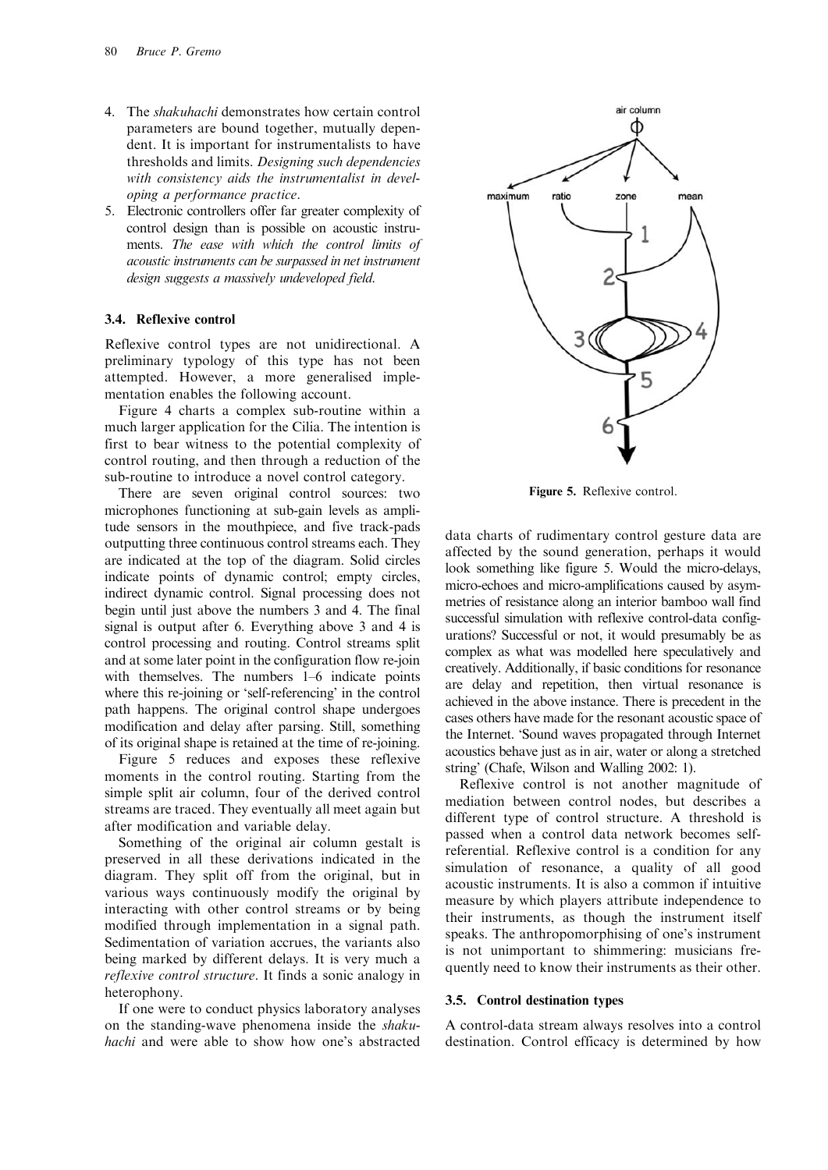- 4. The shakuhachi demonstrates how certain control parameters are bound together, mutually dependent. It is important for instrumentalists to have thresholds and limits. Designing such dependencies with consistency aids the instrumentalist in developing a performance practice.
- 5. Electronic controllers offer far greater complexity of control design than is possible on acoustic instruments. The ease with which the control limits of acoustic instruments can be surpassed in net instrument design suggests a massively undeveloped field.

#### 3.4. Reflexive control

Reflexive control types are not unidirectional. A preliminary typology of this type has not been attempted. However, a more generalised implementation enables the following account.

Figure 4 charts a complex sub-routine within a much larger application for the Cilia. The intention is first to bear witness to the potential complexity of control routing, and then through a reduction of the sub-routine to introduce a novel control category.

There are seven original control sources: two microphones functioning at sub-gain levels as amplitude sensors in the mouthpiece, and five track-pads outputting three continuous control streams each. They are indicated at the top of the diagram. Solid circles indicate points of dynamic control; empty circles, indirect dynamic control. Signal processing does not begin until just above the numbers 3 and 4. The final signal is output after 6. Everything above 3 and 4 is control processing and routing. Control streams split and at some later point in the configuration flow re-join with themselves. The numbers 1–6 indicate points where this re-joining or 'self-referencing' in the control path happens. The original control shape undergoes modification and delay after parsing. Still, something of its original shape is retained at the time of re-joining.

Figure 5 reduces and exposes these reflexive moments in the control routing. Starting from the simple split air column, four of the derived control streams are traced. They eventually all meet again but after modification and variable delay.

Something of the original air column gestalt is preserved in all these derivations indicated in the diagram. They split off from the original, but in various ways continuously modify the original by interacting with other control streams or by being modified through implementation in a signal path. Sedimentation of variation accrues, the variants also being marked by different delays. It is very much a reflexive control structure. It finds a sonic analogy in heterophony.

If one were to conduct physics laboratory analyses on the standing-wave phenomena inside the shakuhachi and were able to show how one's abstracted



Figure 5. Reflexive control.

data charts of rudimentary control gesture data are affected by the sound generation, perhaps it would look something like figure 5. Would the micro-delays, micro-echoes and micro-amplifications caused by asymmetries of resistance along an interior bamboo wall find successful simulation with reflexive control-data configurations? Successful or not, it would presumably be as complex as what was modelled here speculatively and creatively. Additionally, if basic conditions for resonance are delay and repetition, then virtual resonance is achieved in the above instance. There is precedent in the cases others have made for the resonant acoustic space of the Internet. 'Sound waves propagated through Internet acoustics behave just as in air, water or along a stretched string' (Chafe, Wilson and Walling 2002: 1).

Reflexive control is not another magnitude of mediation between control nodes, but describes a different type of control structure. A threshold is passed when a control data network becomes selfreferential. Reflexive control is a condition for any simulation of resonance, a quality of all good acoustic instruments. It is also a common if intuitive measure by which players attribute independence to their instruments, as though the instrument itself speaks. The anthropomorphising of one's instrument is not unimportant to shimmering: musicians frequently need to know their instruments as their other.

#### 3.5. Control destination types

A control-data stream always resolves into a control destination. Control efficacy is determined by how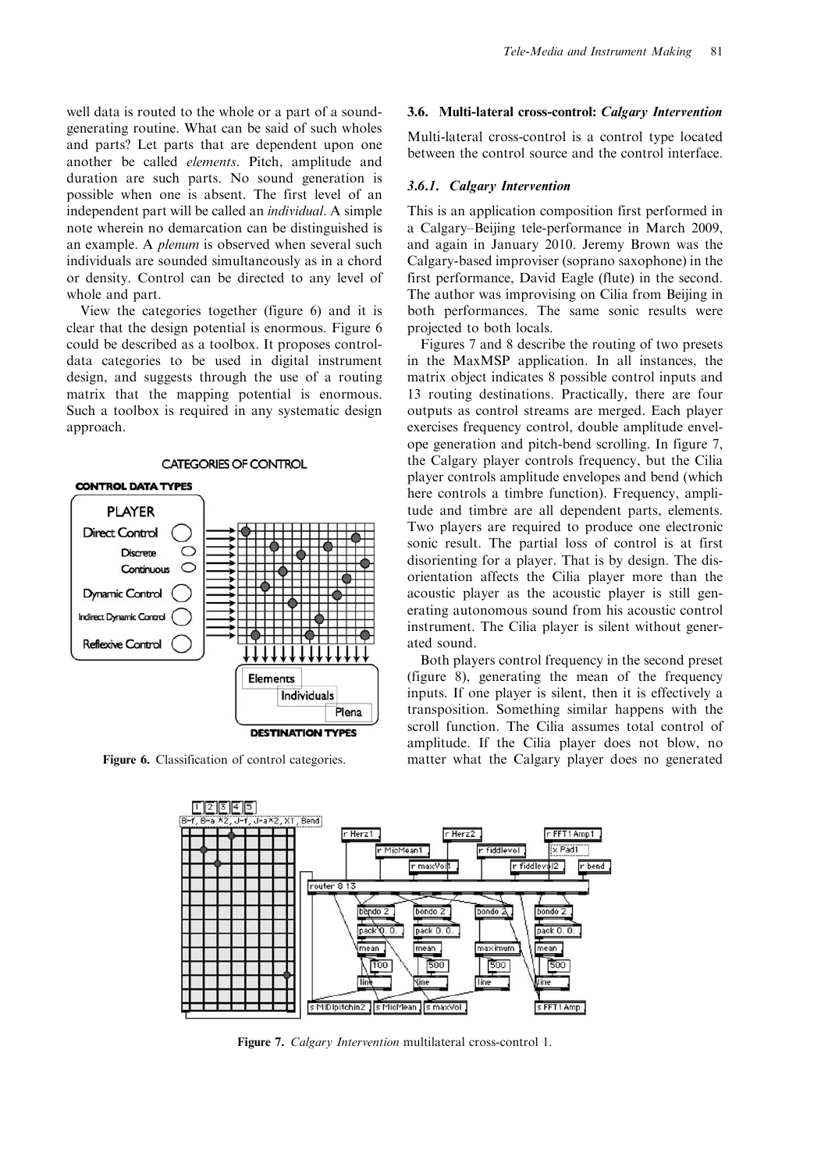well data is routed to the whole or a part of a soundgenerating routine. What can be said of such wholes and parts? Let parts that are dependent upon one another be called elements. Pitch, amplitude and duration are such parts. No sound generation is possible when one is absent. The first level of an independent part will be called an individual. A simple note wherein no demarcation can be distinguished is an example. A plenum is observed when several such individuals are sounded simultaneously as in a chord or density. Control can be directed to any level of whole and part.

View the categories together (figure 6) and it is clear that the design potential is enormous. Figure 6 could be described as a toolbox. It proposes controldata categories to be used in digital instrument design, and suggests through the use of a routing matrix that the mapping potential is enormous. Such a toolbox is required in any systematic design approach.



#### 3.6. Multi-lateral cross-control: Calgary Intervention

Multi-lateral cross-control is a control type located between the control source and the control interface.

#### 3.6.1. Calgary Intervention

This is an application composition first performed in a Calgary–Beijing tele-performance in March 2009, and again in January 2010. Jeremy Brown was the Calgary-based improviser (soprano saxophone) in the first performance, David Eagle (flute) in the second. The author was improvising on Cilia from Beijing in both performances. The same sonic results were projected to both locals.

Figures 7 and 8 describe the routing of two presets in the MaxMSP application. In all instances, the matrix object indicates 8 possible control inputs and 13 routing destinations. Practically, there are four outputs as control streams are merged. Each player exercises frequency control, double amplitude envelope generation and pitch-bend scrolling. In figure 7, the Calgary player controls frequency, but the Cilia player controls amplitude envelopes and bend (which here controls a timbre function). Frequency, amplitude and timbre are all dependent parts, elements. Two players are required to produce one electronic sonic result. The partial loss of control is at first disorienting for a player. That is by design. The disorientation affects the Cilia player more than the acoustic player as the acoustic player is still generating autonomous sound from his acoustic control instrument. The Cilia player is silent without generated sound.

Both players control frequency in the second preset (figure 8), generating the mean of the frequency inputs. If one player is silent, then it is effectively a transposition. Something similar happens with the scroll function. The Cilia assumes total control of amplitude. If the Cilia player does not blow, no Figure 6. Classification of control categories. matter what the Calgary player does no generated



Figure 7. Calgary Intervention multilateral cross-control 1.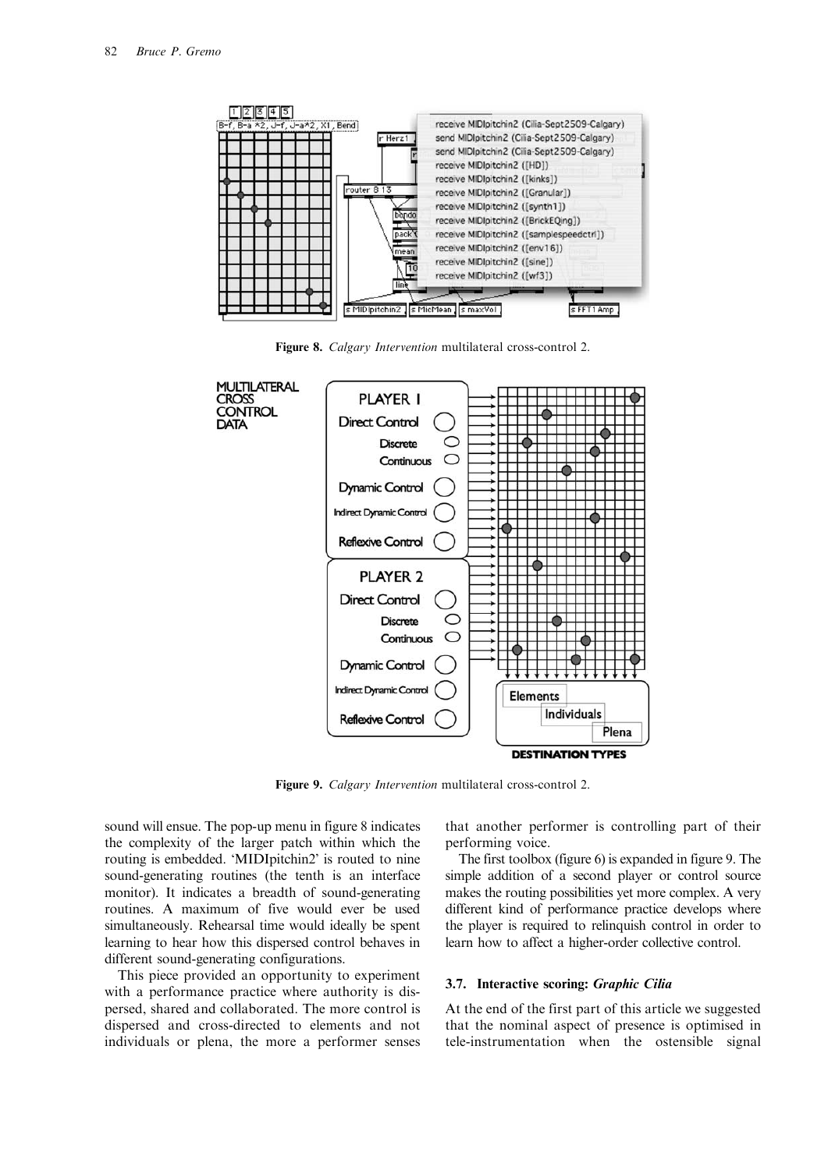

Figure 8. Calgary Intervention multilateral cross-control 2.



Figure 9. Calgary Intervention multilateral cross-control 2.

sound will ensue. The pop-up menu in figure 8 indicates the complexity of the larger patch within which the routing is embedded. 'MIDIpitchin2' is routed to nine sound-generating routines (the tenth is an interface monitor). It indicates a breadth of sound-generating routines. A maximum of five would ever be used simultaneously. Rehearsal time would ideally be spent learning to hear how this dispersed control behaves in different sound-generating configurations.

This piece provided an opportunity to experiment with a performance practice where authority is dispersed, shared and collaborated. The more control is dispersed and cross-directed to elements and not individuals or plena, the more a performer senses that another performer is controlling part of their performing voice.

The first toolbox (figure 6) is expanded in figure 9. The simple addition of a second player or control source makes the routing possibilities yet more complex. A very different kind of performance practice develops where the player is required to relinquish control in order to learn how to affect a higher-order collective control.

# 3.7. Interactive scoring: Graphic Cilia

At the end of the first part of this article we suggested that the nominal aspect of presence is optimised in tele-instrumentation when the ostensible signal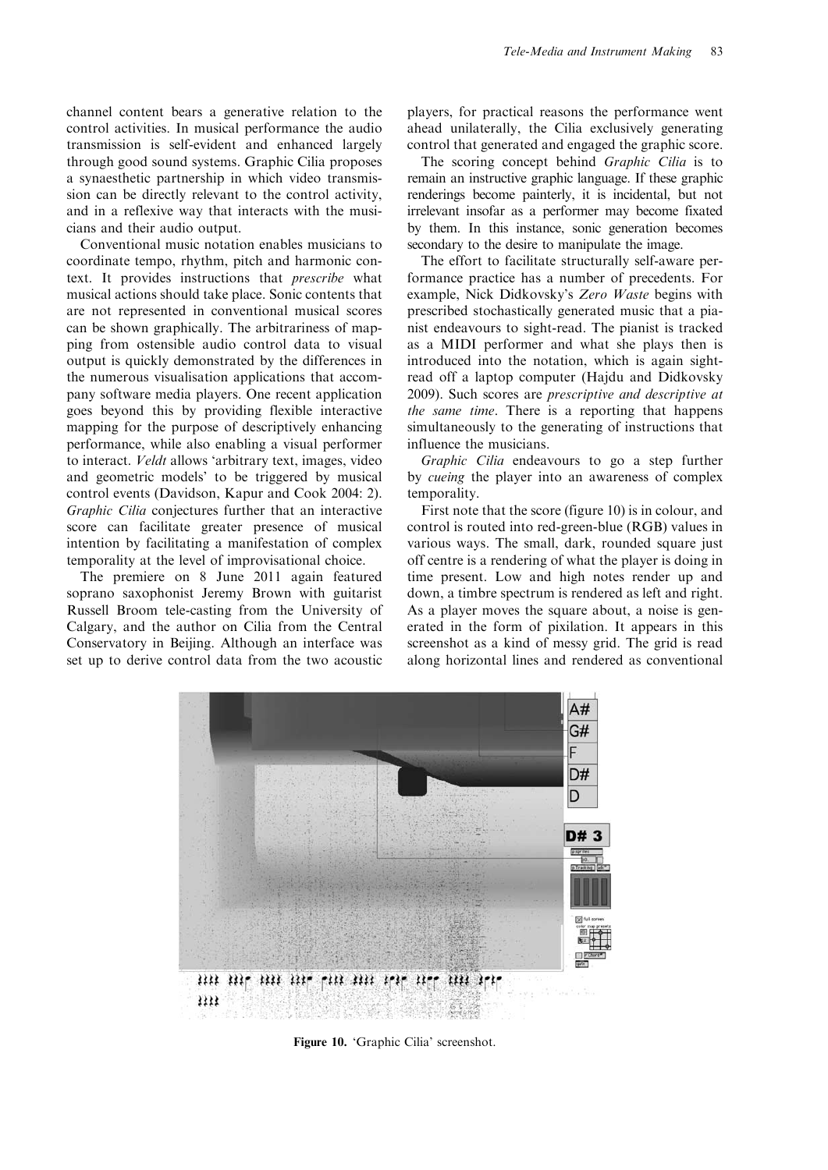channel content bears a generative relation to the control activities. In musical performance the audio transmission is self-evident and enhanced largely through good sound systems. Graphic Cilia proposes a synaesthetic partnership in which video transmission can be directly relevant to the control activity, and in a reflexive way that interacts with the musicians and their audio output.

Conventional music notation enables musicians to coordinate tempo, rhythm, pitch and harmonic context. It provides instructions that prescribe what musical actions should take place. Sonic contents that are not represented in conventional musical scores can be shown graphically. The arbitrariness of mapping from ostensible audio control data to visual output is quickly demonstrated by the differences in the numerous visualisation applications that accompany software media players. One recent application goes beyond this by providing flexible interactive mapping for the purpose of descriptively enhancing performance, while also enabling a visual performer to interact. Veldt allows 'arbitrary text, images, video and geometric models' to be triggered by musical control events (Davidson, Kapur and Cook 2004: 2). Graphic Cilia conjectures further that an interactive score can facilitate greater presence of musical intention by facilitating a manifestation of complex temporality at the level of improvisational choice.

The premiere on 8 June 2011 again featured soprano saxophonist Jeremy Brown with guitarist Russell Broom tele-casting from the University of Calgary, and the author on Cilia from the Central Conservatory in Beijing. Although an interface was set up to derive control data from the two acoustic players, for practical reasons the performance went ahead unilaterally, the Cilia exclusively generating control that generated and engaged the graphic score.

The scoring concept behind Graphic Cilia is to remain an instructive graphic language. If these graphic renderings become painterly, it is incidental, but not irrelevant insofar as a performer may become fixated by them. In this instance, sonic generation becomes secondary to the desire to manipulate the image.

The effort to facilitate structurally self-aware performance practice has a number of precedents. For example, Nick Didkovsky's Zero Waste begins with prescribed stochastically generated music that a pianist endeavours to sight-read. The pianist is tracked as a MIDI performer and what she plays then is introduced into the notation, which is again sightread off a laptop computer (Hajdu and Didkovsky 2009). Such scores are prescriptive and descriptive at the same time. There is a reporting that happens simultaneously to the generating of instructions that influence the musicians.

Graphic Cilia endeavours to go a step further by *cueing* the player into an awareness of complex temporality.

First note that the score (figure 10) is in colour, and control is routed into red-green-blue (RGB) values in various ways. The small, dark, rounded square just off centre is a rendering of what the player is doing in time present. Low and high notes render up and down, a timbre spectrum is rendered as left and right. As a player moves the square about, a noise is generated in the form of pixilation. It appears in this screenshot as a kind of messy grid. The grid is read along horizontal lines and rendered as conventional



Figure 10. 'Graphic Cilia' screenshot.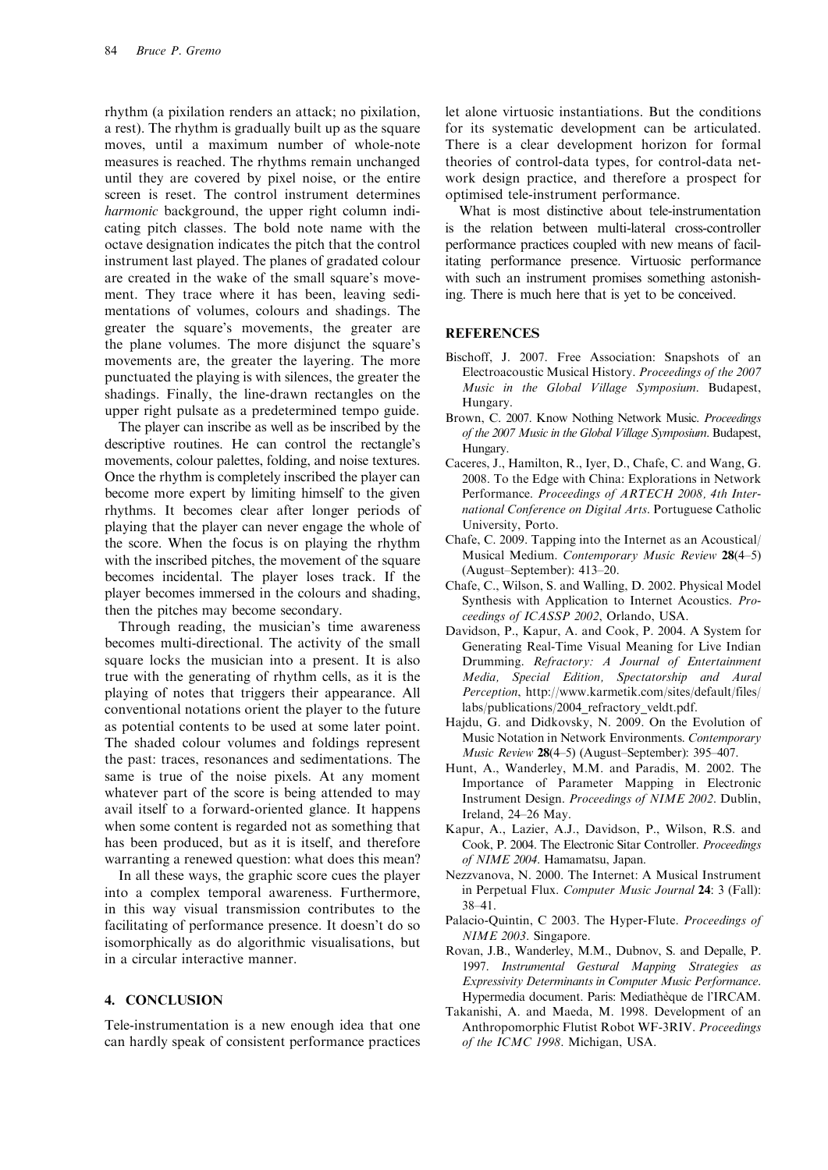rhythm (a pixilation renders an attack; no pixilation, a rest). The rhythm is gradually built up as the square moves, until a maximum number of whole-note measures is reached. The rhythms remain unchanged until they are covered by pixel noise, or the entire screen is reset. The control instrument determines harmonic background, the upper right column indicating pitch classes. The bold note name with the octave designation indicates the pitch that the control instrument last played. The planes of gradated colour are created in the wake of the small square's movement. They trace where it has been, leaving sedimentations of volumes, colours and shadings. The greater the square's movements, the greater are the plane volumes. The more disjunct the square's movements are, the greater the layering. The more punctuated the playing is with silences, the greater the shadings. Finally, the line-drawn rectangles on the upper right pulsate as a predetermined tempo guide.

The player can inscribe as well as be inscribed by the descriptive routines. He can control the rectangle's movements, colour palettes, folding, and noise textures. Once the rhythm is completely inscribed the player can become more expert by limiting himself to the given rhythms. It becomes clear after longer periods of playing that the player can never engage the whole of the score. When the focus is on playing the rhythm with the inscribed pitches, the movement of the square becomes incidental. The player loses track. If the player becomes immersed in the colours and shading, then the pitches may become secondary.

Through reading, the musician's time awareness becomes multi-directional. The activity of the small square locks the musician into a present. It is also true with the generating of rhythm cells, as it is the playing of notes that triggers their appearance. All conventional notations orient the player to the future as potential contents to be used at some later point. The shaded colour volumes and foldings represent the past: traces, resonances and sedimentations. The same is true of the noise pixels. At any moment whatever part of the score is being attended to may avail itself to a forward-oriented glance. It happens when some content is regarded not as something that has been produced, but as it is itself, and therefore warranting a renewed question: what does this mean?

In all these ways, the graphic score cues the player into a complex temporal awareness. Furthermore, in this way visual transmission contributes to the facilitating of performance presence. It doesn't do so isomorphically as do algorithmic visualisations, but in a circular interactive manner.

#### 4. CONCLUSION

Tele-instrumentation is a new enough idea that one can hardly speak of consistent performance practices let alone virtuosic instantiations. But the conditions for its systematic development can be articulated. There is a clear development horizon for formal theories of control-data types, for control-data network design practice, and therefore a prospect for optimised tele-instrument performance.

What is most distinctive about tele-instrumentation is the relation between multi-lateral cross-controller performance practices coupled with new means of facilitating performance presence. Virtuosic performance with such an instrument promises something astonishing. There is much here that is yet to be conceived.

## **REFERENCES**

- Bischoff, J. 2007. Free Association: Snapshots of an Electroacoustic Musical History. Proceedings of the 2007 Music in the Global Village Symposium. Budapest, Hungary.
- Brown, C. 2007. Know Nothing Network Music. Proceedings of the 2007 Music in the Global Village Symposium. Budapest, Hungary.
- Caceres, J., Hamilton, R., Iyer, D., Chafe, C. and Wang, G. 2008. To the Edge with China: Explorations in Network Performance. Proceedings of ARTECH 2008, 4th International Conference on Digital Arts. Portuguese Catholic University, Porto.
- Chafe, C. 2009. Tapping into the Internet as an Acoustical/ Musical Medium. Contemporary Music Review 28(4–5) (August–September): 413–20.
- Chafe, C., Wilson, S. and Walling, D. 2002. Physical Model Synthesis with Application to Internet Acoustics. Proceedings of ICASSP 2002, Orlando, USA.
- Davidson, P., Kapur, A. and Cook, P. 2004. A System for Generating Real-Time Visual Meaning for Live Indian Drumming. Refractory: A Journal of Entertainment Media, Special Edition, Spectatorship and Aural Perception, http://www.karmetik.com/sites/default/files/ labs/publications/2004\_refractory\_veldt.pdf.
- Hajdu, G. and Didkovsky, N. 2009. On the Evolution of Music Notation in Network Environments. Contemporary Music Review 28(4–5) (August–September): 395–407.
- Hunt, A., Wanderley, M.M. and Paradis, M. 2002. The Importance of Parameter Mapping in Electronic Instrument Design. Proceedings of NIME 2002. Dublin, Ireland, 24–26 May.
- Kapur, A., Lazier, A.J., Davidson, P., Wilson, R.S. and Cook, P. 2004. The Electronic Sitar Controller. Proceedings of NIME 2004. Hamamatsu, Japan.
- Nezzvanova, N. 2000. The Internet: A Musical Instrument in Perpetual Flux. Computer Music Journal 24: 3 (Fall): 38–41.
- Palacio-Quintin, C 2003. The Hyper-Flute. Proceedings of NIME 2003. Singapore.
- Rovan, J.B., Wanderley, M.M., Dubnov, S. and Depalle, P. 1997. Instrumental Gestural Mapping Strategies as Expressivity Determinants in Computer Music Performance. Hypermedia document. Paris: Mediathèque de l'IRCAM.
- Takanishi, A. and Maeda, M. 1998. Development of an Anthropomorphic Flutist Robot WF-3RIV. Proceedings of the ICMC 1998. Michigan, USA.